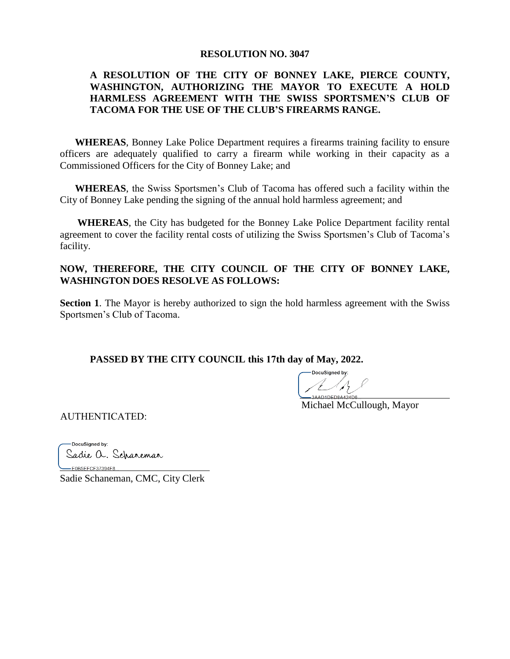#### **RESOLUTION NO. 3047**

### **A RESOLUTION OF THE CITY OF BONNEY LAKE, PIERCE COUNTY, WASHINGTON, AUTHORIZING THE MAYOR TO EXECUTE A HOLD HARMLESS AGREEMENT WITH THE SWISS SPORTSMEN'S CLUB OF TACOMA FOR THE USE OF THE CLUB'S FIREARMS RANGE.**

**WHEREAS**, Bonney Lake Police Department requires a firearms training facility to ensure officers are adequately qualified to carry a firearm while working in their capacity as a Commissioned Officers for the City of Bonney Lake; and

**WHEREAS**, the Swiss Sportsmen's Club of Tacoma has offered such a facility within the City of Bonney Lake pending the signing of the annual hold harmless agreement; and

**WHEREAS**, the City has budgeted for the Bonney Lake Police Department facility rental agreement to cover the facility rental costs of utilizing the Swiss Sportsmen's Club of Tacoma's facility.

### **NOW, THEREFORE, THE CITY COUNCIL OF THE CITY OF BONNEY LAKE, WASHINGTON DOES RESOLVE AS FOLLOWS:**

**Section 1.** The Mayor is hereby authorized to sign the hold harmless agreement with the Swiss Sportsmen's Club of Tacoma.

**PASSED BY THE CITY COUNCIL this 17th day of May, 2022.** 

DocuSigned by: 

Michael McCullough, Mayor

AUTHENTICATED:

DocuSigned by: Sadie a. Scharemar

-E0B5EFCF37394F8... Sadie Schaneman, CMC, City Clerk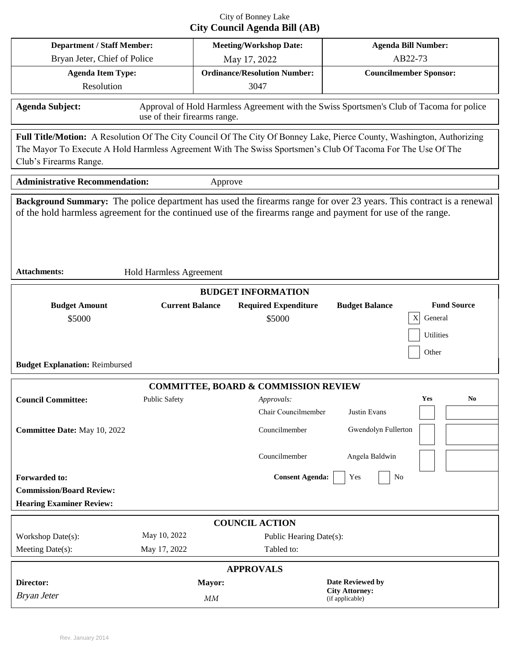# City of Bonney Lake **City Council Agenda Bill (AB)**

| <b>Department / Staff Member:</b>                                                                                                                                                                                                                                                            |                        | <b>Meeting/Workshop Date:</b> |                                             | <b>Agenda Bill Number:</b>               |                                                          |  |
|----------------------------------------------------------------------------------------------------------------------------------------------------------------------------------------------------------------------------------------------------------------------------------------------|------------------------|-------------------------------|---------------------------------------------|------------------------------------------|----------------------------------------------------------|--|
| Bryan Jeter, Chief of Police                                                                                                                                                                                                                                                                 |                        |                               | May 17, 2022                                |                                          | AB22-73                                                  |  |
| <b>Agenda Item Type:</b><br>Resolution                                                                                                                                                                                                                                                       |                        |                               | <b>Ordinance/Resolution Number:</b><br>3047 | <b>Councilmember Sponsor:</b>            |                                                          |  |
| <b>Agenda Subject:</b><br>Approval of Hold Harmless Agreement with the Swiss Sportsmen's Club of Tacoma for police<br>use of their firearms range.                                                                                                                                           |                        |                               |                                             |                                          |                                                          |  |
| Full Title/Motion: A Resolution Of The City Council Of The City Of Bonney Lake, Pierce County, Washington, Authorizing<br>The Mayor To Execute A Hold Harmless Agreement With The Swiss Sportsmen's Club Of Tacoma For The Use Of The<br>Club's Firearms Range.                              |                        |                               |                                             |                                          |                                                          |  |
| <b>Administrative Recommendation:</b><br>Approve                                                                                                                                                                                                                                             |                        |                               |                                             |                                          |                                                          |  |
| Background Summary: The police department has used the firearms range for over 23 years. This contract is a renewal<br>of the hold harmless agreement for the continued use of the firearms range and payment for use of the range.<br><b>Attachments:</b><br><b>Hold Harmless Agreement</b> |                        |                               |                                             |                                          |                                                          |  |
| <b>BUDGET INFORMATION</b>                                                                                                                                                                                                                                                                    |                        |                               |                                             |                                          |                                                          |  |
| <b>Budget Amount</b><br>\$5000<br><b>Budget Explanation: Reimbursed</b>                                                                                                                                                                                                                      | <b>Current Balance</b> |                               | <b>Required Expenditure</b><br>\$5000       | <b>Budget Balance</b>                    | <b>Fund Source</b><br>General<br>X<br>Utilities<br>Other |  |
| <b>COMMITTEE, BOARD &amp; COMMISSION REVIEW</b>                                                                                                                                                                                                                                              |                        |                               |                                             |                                          |                                                          |  |
| <b>Council Committee:</b>                                                                                                                                                                                                                                                                    | Public Safety          |                               | Approvals:<br>Chair Councilmember           | Justin Evans                             | Yes<br>No                                                |  |
| Committee Date: May 10, 2022                                                                                                                                                                                                                                                                 |                        |                               | Councilmember<br>Councilmember              | Gwendolyn Fullerton<br>Angela Baldwin    |                                                          |  |
| <b>Forwarded to:</b><br><b>Commission/Board Review:</b><br><b>Hearing Examiner Review:</b>                                                                                                                                                                                                   |                        |                               | <b>Consent Agenda:</b>                      | Yes<br>No                                |                                                          |  |
| <b>COUNCIL ACTION</b>                                                                                                                                                                                                                                                                        |                        |                               |                                             |                                          |                                                          |  |
| Workshop Date(s):                                                                                                                                                                                                                                                                            | May 10, 2022           |                               | Public Hearing Date(s):                     |                                          |                                                          |  |
| Meeting Date(s):                                                                                                                                                                                                                                                                             | May 17, 2022           |                               | Tabled to:                                  |                                          |                                                          |  |
| <b>APPROVALS</b>                                                                                                                                                                                                                                                                             |                        |                               |                                             |                                          |                                                          |  |
| Director:                                                                                                                                                                                                                                                                                    |                        | Mayor:                        |                                             | Date Reviewed by                         |                                                          |  |
| <b>Bryan Jeter</b>                                                                                                                                                                                                                                                                           |                        | MM                            |                                             | <b>City Attorney:</b><br>(if applicable) |                                                          |  |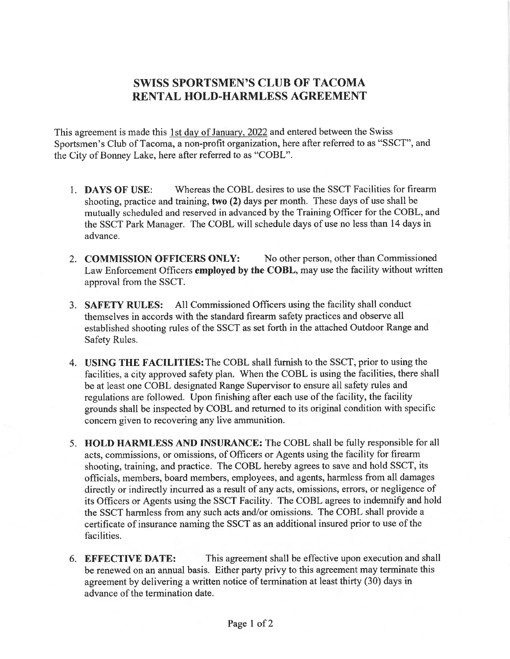# **SWISS SPORTSMEN'S CLUB OF TACOMA** RENTAL HOLD-HARMLESS AGREEMENT

This agreement is made this 1st day of January, 2022 and entered between the Swiss Sportsmen's Club of Tacoma, a non-profit organization, here after referred to as "SSCT", and the City of Bonney Lake, here after referred to as "COBL".

- Whereas the COBL desires to use the SSCT Facilities for firearm 1. DAYS OF USE: shooting, practice and training, two (2) days per month. These days of use shall be mutually scheduled and reserved in advanced by the Training Officer for the COBL, and the SSCT Park Manager. The COBL will schedule days of use no less than 14 days in advance.
- 2. COMMISSION OFFICERS ONLY: No other person, other than Commissioned Law Enforcement Officers employed by the COBL, may use the facility without written approval from the SSCT.
- 3. SAFETY RULES: All Commissioned Officers using the facility shall conduct themselves in accords with the standard firearm safety practices and observe all established shooting rules of the SSCT as set forth in the attached Outdoor Range and Safety Rules.
- 4. USING THE FACILITIES: The COBL shall furnish to the SSCT, prior to using the facilities, a city approved safety plan. When the COBL is using the facilities, there shall be at least one COBL designated Range Supervisor to ensure all safety rules and regulations are followed. Upon finishing after each use of the facility, the facility grounds shall be inspected by COBL and returned to its original condition with specific concern given to recovering any live ammunition.
- 5. HOLD HARMLESS AND INSURANCE: The COBL shall be fully responsible for all acts, commissions, or omissions, of Officers or Agents using the facility for firearm shooting, training, and practice. The COBL hereby agrees to save and hold SSCT, its officials, members, board members, employees, and agents, harmless from all damages directly or indirectly incurred as a result of any acts, omissions, errors, or negligence of its Officers or Agents using the SSCT Facility. The COBL agrees to indemnify and hold the SSCT harmless from any such acts and/or omissions. The COBL shall provide a certificate of insurance naming the SSCT as an additional insured prior to use of the facilities.
- This agreement shall be effective upon execution and shall 6. EFFECTIVE DATE: be renewed on an annual basis. Either party privy to this agreement may terminate this agreement by delivering a written notice of termination at least thirty (30) days in advance of the termination date.